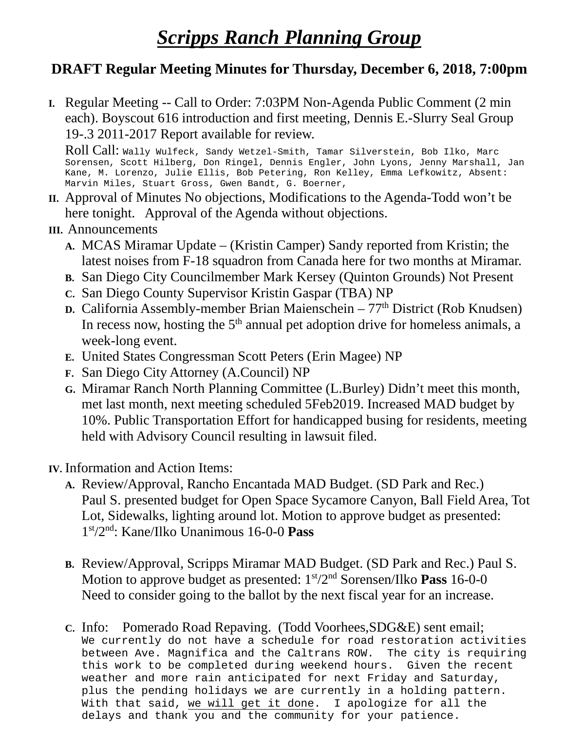## *Scripps Ranch Planning Group*

## **DRAFT Regular Meeting Minutes for Thursday, December 6, 2018, 7:00pm**

**I.** Regular Meeting -- Call to Order: 7:03PM Non-Agenda Public Comment (2 min each). Boyscout 616 introduction and first meeting, Dennis E.-Slurry Seal Group 19-.3 2011-2017 Report available for review.

Roll Call: Wally Wulfeck, Sandy Wetzel-Smith, Tamar Silverstein, Bob Ilko, Marc Sorensen, Scott Hilberg, Don Ringel, Dennis Engler, John Lyons, Jenny Marshall, Jan Kane, M. Lorenzo, Julie Ellis, Bob Petering, Ron Kelley, Emma Lefkowitz, Absent: Marvin Miles, Stuart Gross, Gwen Bandt, G. Boerner,

- **II.** Approval of Minutes No objections, Modifications to the Agenda-Todd won't be here tonight. Approval of the Agenda without objections.
- **III.** Announcements
	- **A.** MCAS Miramar Update (Kristin Camper) Sandy reported from Kristin; the latest noises from F-18 squadron from Canada here for two months at Miramar.
	- **B.** San Diego City Councilmember Mark Kersey (Quinton Grounds) Not Present
	- **C.** San Diego County Supervisor Kristin Gaspar (TBA) NP
	- **D.** California Assembly-member Brian Maienschein 77<sup>th</sup> District (Rob Knudsen) In recess now, hosting the  $5<sup>th</sup>$  annual pet adoption drive for homeless animals, a week-long event.
	- **E.** United States Congressman Scott Peters (Erin Magee) NP
	- **F.** San Diego City Attorney (A.Council) NP
	- **G.** Miramar Ranch North Planning Committee (L.Burley) Didn't meet this month, met last month, next meeting scheduled 5Feb2019. Increased MAD budget by 10%. Public Transportation Effort for handicapped busing for residents, meeting held with Advisory Council resulting in lawsuit filed.
- **IV.** Information and Action Items:
	- **A.** Review/Approval, Rancho Encantada MAD Budget. (SD Park and Rec.) Paul S. presented budget for Open Space Sycamore Canyon, Ball Field Area, Tot Lot, Sidewalks, lighting around lot. Motion to approve budget as presented: 1st/2nd: Kane/Ilko Unanimous 16-0-0 **Pass**
	- **B.** Review/Approval, Scripps Miramar MAD Budget. (SD Park and Rec.) Paul S. Motion to approve budget as presented: 1<sup>st</sup>/2<sup>nd</sup> Sorensen/Ilko **Pass** 16-0-0 Need to consider going to the ballot by the next fiscal year for an increase.
	- **C.** Info: Pomerado Road Repaving. (Todd Voorhees,SDG&E) sent email; We currently do not have a schedule for road restoration activities between Ave. Magnifica and the Caltrans ROW. The city is requiring this work to be completed during weekend hours. Given the recent weather and more rain anticipated for next Friday and Saturday, plus the pending holidays we are currently in a holding pattern. With that said, we will get it done. I apologize for all the delays and thank you and the community for your patience.